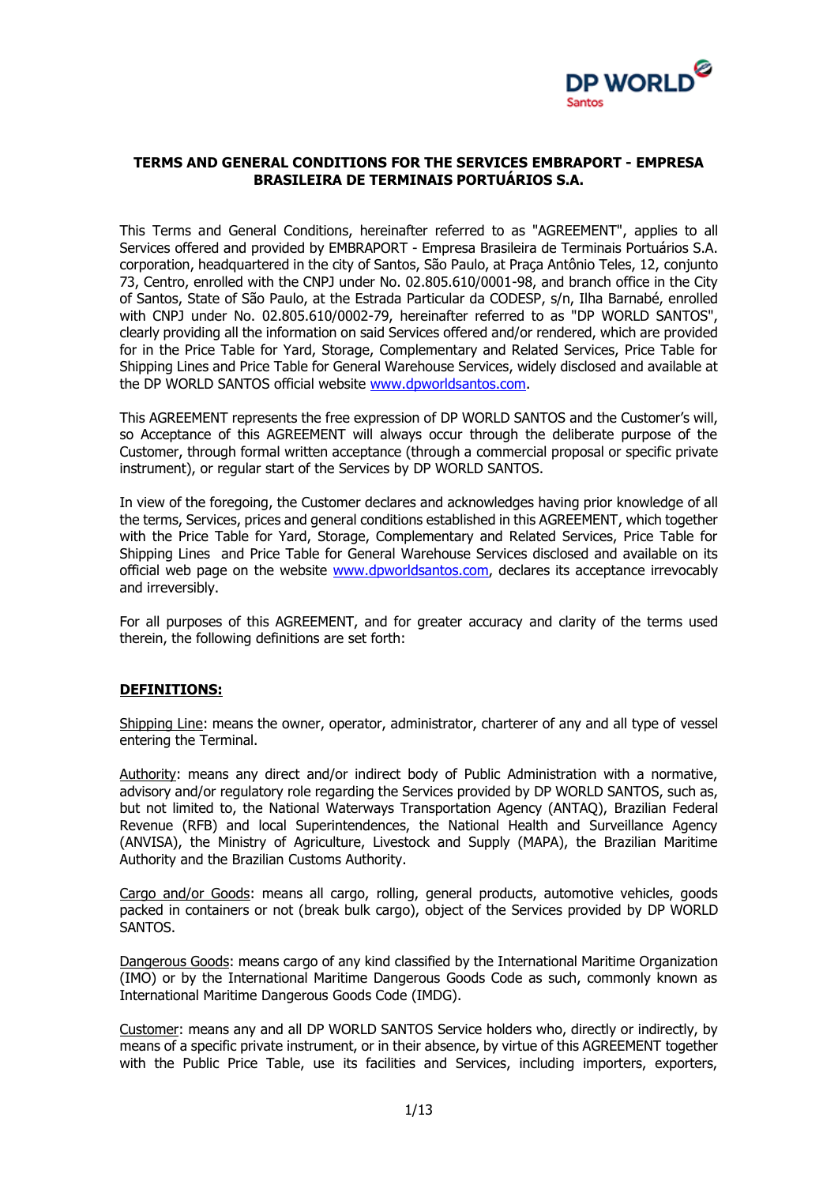

#### **TERMS AND GENERAL CONDITIONS FOR THE SERVICES EMBRAPORT - EMPRESA BRASILEIRA DE TERMINAIS PORTUÁRIOS S.A.**

This Terms and General Conditions, hereinafter referred to as "AGREEMENT", applies to all Services offered and provided by EMBRAPORT - Empresa Brasileira de Terminais Portuários S.A. corporation, headquartered in the city of Santos, São Paulo, at Praça Antônio Teles, 12, conjunto 73, Centro, enrolled with the CNPJ under No. 02.805.610/0001-98, and branch office in the City of Santos, State of São Paulo, at the Estrada Particular da CODESP, s/n, Ilha Barnabé, enrolled with CNPJ under No. 02.805.610/0002-79, hereinafter referred to as "DP WORLD SANTOS", clearly providing all the information on said Services offered and/or rendered, which are provided for in the Price Table for Yard, Storage, Complementary and Related Services, Price Table for Shipping Lines and Price Table for General Warehouse Services, widely disclosed and available at the DP WORLD SANTOS official website [www.dpworldsantos.com.](http://www.dpworldsantos.com/)

This AGREEMENT represents the free expression of DP WORLD SANTOS and the Customer's will, so Acceptance of this AGREEMENT will always occur through the deliberate purpose of the Customer, through formal written acceptance (through a commercial proposal or specific private instrument), or regular start of the Services by DP WORLD SANTOS.

In view of the foregoing, the Customer declares and acknowledges having prior knowledge of all the terms, Services, prices and general conditions established in this AGREEMENT, which together with the Price Table for Yard, Storage, Complementary and Related Services, Price Table for Shipping Lines and Price Table for General Warehouse Services disclosed and available on its official web page on the website [www.dpworldsantos.com,](http://www.dpworldsantos.com/) declares its acceptance irrevocably and irreversibly.

For all purposes of this AGREEMENT, and for greater accuracy and clarity of the terms used therein, the following definitions are set forth:

#### **DEFINITIONS:**

Shipping Line: means the owner, operator, administrator, charterer of any and all type of vessel entering the Terminal.

Authority: means any direct and/or indirect body of Public Administration with a normative, advisory and/or regulatory role regarding the Services provided by DP WORLD SANTOS, such as, but not limited to, the National Waterways Transportation Agency (ANTAQ), Brazilian Federal Revenue (RFB) and local Superintendences, the National Health and Surveillance Agency (ANVISA), the Ministry of Agriculture, Livestock and Supply (MAPA), the Brazilian Maritime Authority and the Brazilian Customs Authority.

Cargo and/or Goods: means all cargo, rolling, general products, automotive vehicles, goods packed in containers or not (break bulk cargo), object of the Services provided by DP WORLD SANTOS.

Dangerous Goods: means cargo of any kind classified by the International Maritime Organization (IMO) or by the International Maritime Dangerous Goods Code as such, commonly known as International Maritime Dangerous Goods Code (IMDG).

Customer: means any and all DP WORLD SANTOS Service holders who, directly or indirectly, by means of a specific private instrument, or in their absence, by virtue of this AGREEMENT together with the Public Price Table, use its facilities and Services, including importers, exporters,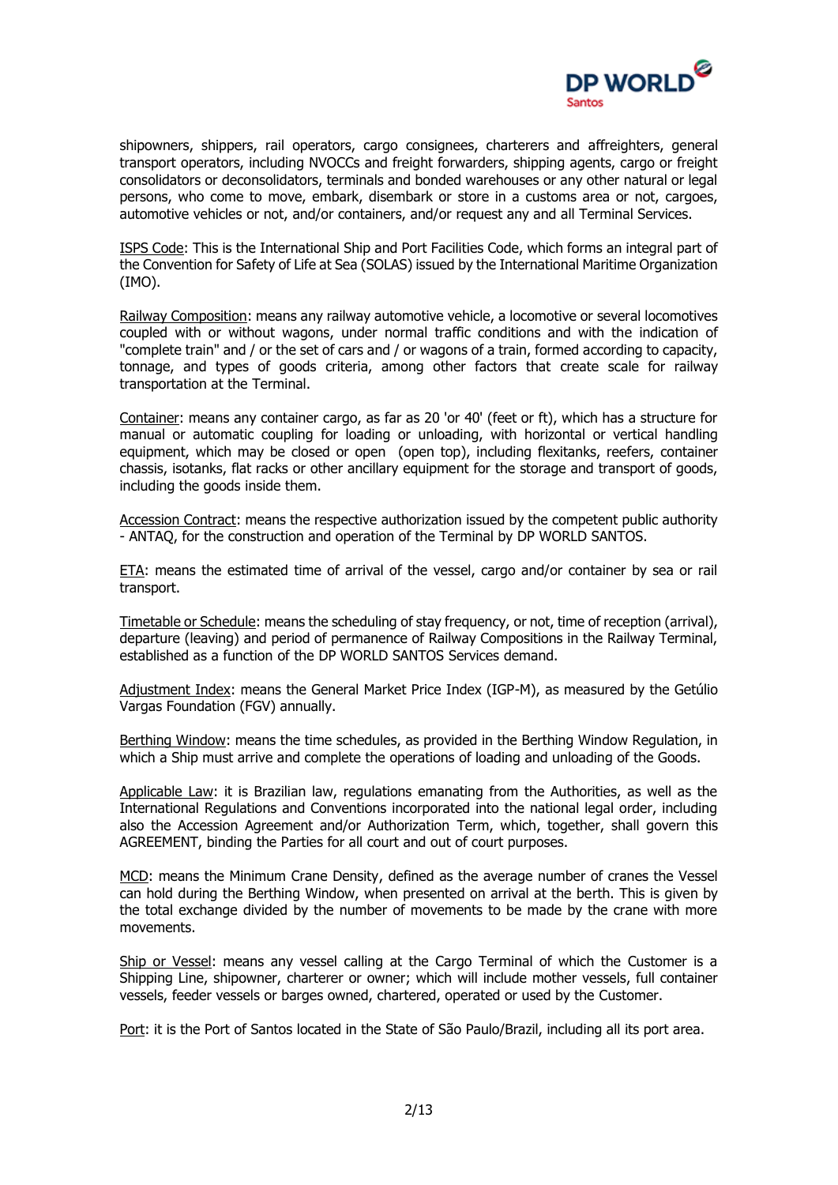

shipowners, shippers, rail operators, cargo consignees, charterers and affreighters, general transport operators, including NVOCCs and freight forwarders, shipping agents, cargo or freight consolidators or deconsolidators, terminals and bonded warehouses or any other natural or legal persons, who come to move, embark, disembark or store in a customs area or not, cargoes, automotive vehicles or not, and/or containers, and/or request any and all Terminal Services.

ISPS Code: This is the International Ship and Port Facilities Code, which forms an integral part of the Convention for Safety of Life at Sea (SOLAS) issued by the International Maritime Organization (IMO).

Railway Composition: means any railway automotive vehicle, a locomotive or several locomotives coupled with or without wagons, under normal traffic conditions and with the indication of "complete train" and / or the set of cars and / or wagons of a train, formed according to capacity, tonnage, and types of goods criteria, among other factors that create scale for railway transportation at the Terminal.

Container: means any container cargo, as far as 20 'or 40' (feet or ft), which has a structure for manual or automatic coupling for loading or unloading, with horizontal or vertical handling equipment, which may be closed or open (open top), including flexitanks, reefers, container chassis, isotanks, flat racks or other ancillary equipment for the storage and transport of goods, including the goods inside them.

Accession Contract: means the respective authorization issued by the competent public authority - ANTAQ, for the construction and operation of the Terminal by DP WORLD SANTOS.

ETA: means the estimated time of arrival of the vessel, cargo and/or container by sea or rail transport.

Timetable or Schedule: means the scheduling of stay frequency, or not, time of reception (arrival), departure (leaving) and period of permanence of Railway Compositions in the Railway Terminal, established as a function of the DP WORLD SANTOS Services demand.

Adjustment Index: means the General Market Price Index (IGP-M), as measured by the Getúlio Vargas Foundation (FGV) annually.

Berthing Window: means the time schedules, as provided in the Berthing Window Regulation, in which a Ship must arrive and complete the operations of loading and unloading of the Goods.

Applicable Law: it is Brazilian law, regulations emanating from the Authorities, as well as the International Regulations and Conventions incorporated into the national legal order, including also the Accession Agreement and/or Authorization Term, which, together, shall govern this AGREEMENT, binding the Parties for all court and out of court purposes.

MCD: means the Minimum Crane Density, defined as the average number of cranes the Vessel can hold during the Berthing Window, when presented on arrival at the berth. This is given by the total exchange divided by the number of movements to be made by the crane with more movements.

Ship or Vessel: means any vessel calling at the Cargo Terminal of which the Customer is a Shipping Line, shipowner, charterer or owner; which will include mother vessels, full container vessels, feeder vessels or barges owned, chartered, operated or used by the Customer.

Port: it is the Port of Santos located in the State of São Paulo/Brazil, including all its port area.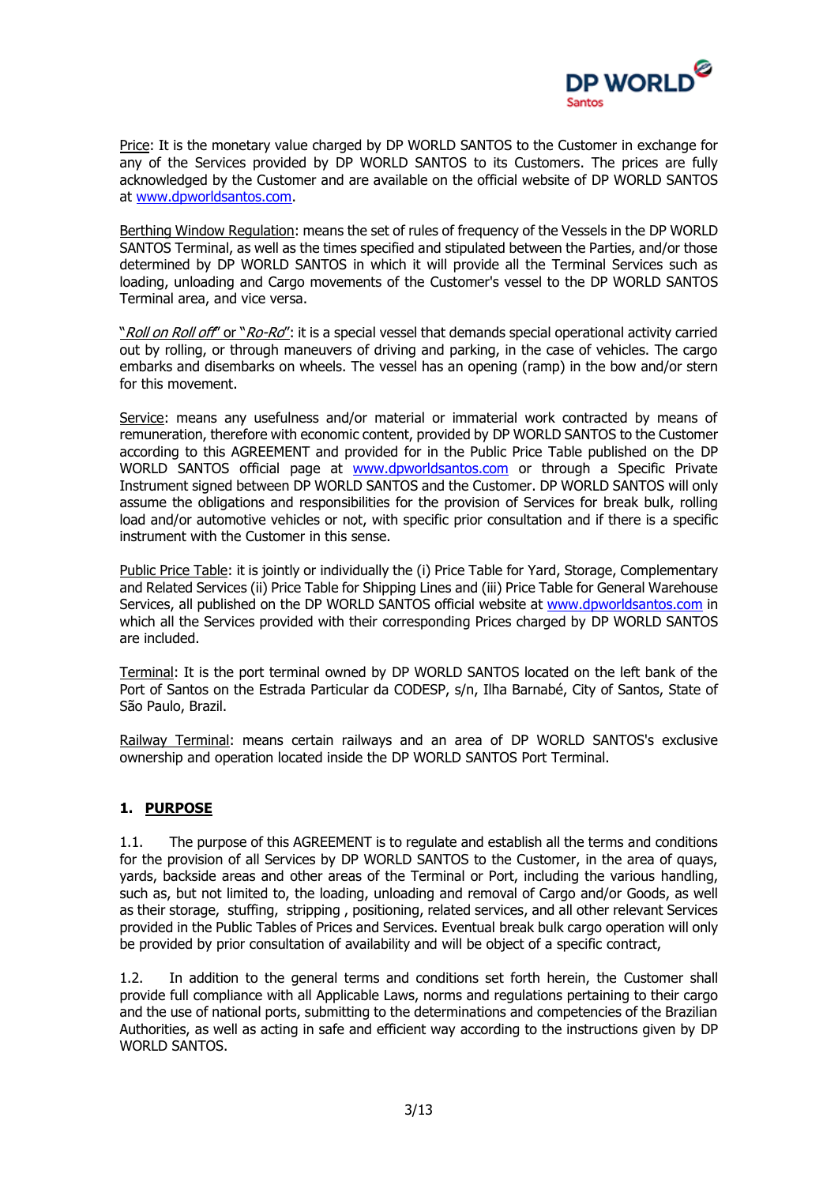

Price: It is the monetary value charged by DP WORLD SANTOS to the Customer in exchange for any of the Services provided by DP WORLD SANTOS to its Customers. The prices are fully acknowledged by the Customer and are available on the official website of DP WORLD SANTOS at [www.dpworldsantos.com.](http://www.embraport.com/)

Berthing Window Regulation: means the set of rules of frequency of the Vessels in the DP WORLD SANTOS Terminal, as well as the times specified and stipulated between the Parties, and/or those determined by DP WORLD SANTOS in which it will provide all the Terminal Services such as loading, unloading and Cargo movements of the Customer's vessel to the DP WORLD SANTOS Terminal area, and vice versa.

"Roll on Roll off" or "Ro-Ro": it is a special vessel that demands special operational activity carried out by rolling, or through maneuvers of driving and parking, in the case of vehicles. The cargo embarks and disembarks on wheels. The vessel has an opening (ramp) in the bow and/or stern for this movement.

Service: means any usefulness and/or material or immaterial work contracted by means of remuneration, therefore with economic content, provided by DP WORLD SANTOS to the Customer according to this AGREEMENT and provided for in the Public Price Table published on the DP WORLD SANTOS official page at [www.dpworldsantos.com](http://www.embraport.com/) or through a Specific Private Instrument signed between DP WORLD SANTOS and the Customer. DP WORLD SANTOS will only assume the obligations and responsibilities for the provision of Services for break bulk, rolling load and/or automotive vehicles or not, with specific prior consultation and if there is a specific instrument with the Customer in this sense.

Public Price Table: it is jointly or individually the (i) Price Table for Yard, Storage, Complementary and Related Services (ii) Price Table for Shipping Lines and (iii) Price Table for General Warehouse Services, all published on the DP WORLD SANTOS official website at [www.dpworldsantos.com](http://www.dpworldsantos.com/) in which all the Services provided with their corresponding Prices charged by DP WORLD SANTOS are included.

Terminal: It is the port terminal owned by DP WORLD SANTOS located on the left bank of the Port of Santos on the Estrada Particular da CODESP, s/n, Ilha Barnabé, City of Santos, State of São Paulo, Brazil.

Railway Terminal: means certain railways and an area of DP WORLD SANTOS's exclusive ownership and operation located inside the DP WORLD SANTOS Port Terminal.

# **1. PURPOSE**

1.1. The purpose of this AGREEMENT is to regulate and establish all the terms and conditions for the provision of all Services by DP WORLD SANTOS to the Customer, in the area of quays, yards, backside areas and other areas of the Terminal or Port, including the various handling, such as, but not limited to, the loading, unloading and removal of Cargo and/or Goods, as well as their storage, stuffing, stripping , positioning, related services, and all other relevant Services provided in the Public Tables of Prices and Services. Eventual break bulk cargo operation will only be provided by prior consultation of availability and will be object of a specific contract,

1.2. In addition to the general terms and conditions set forth herein, the Customer shall provide full compliance with all Applicable Laws, norms and regulations pertaining to their cargo and the use of national ports, submitting to the determinations and competencies of the Brazilian Authorities, as well as acting in safe and efficient way according to the instructions given by DP WORLD SANTOS.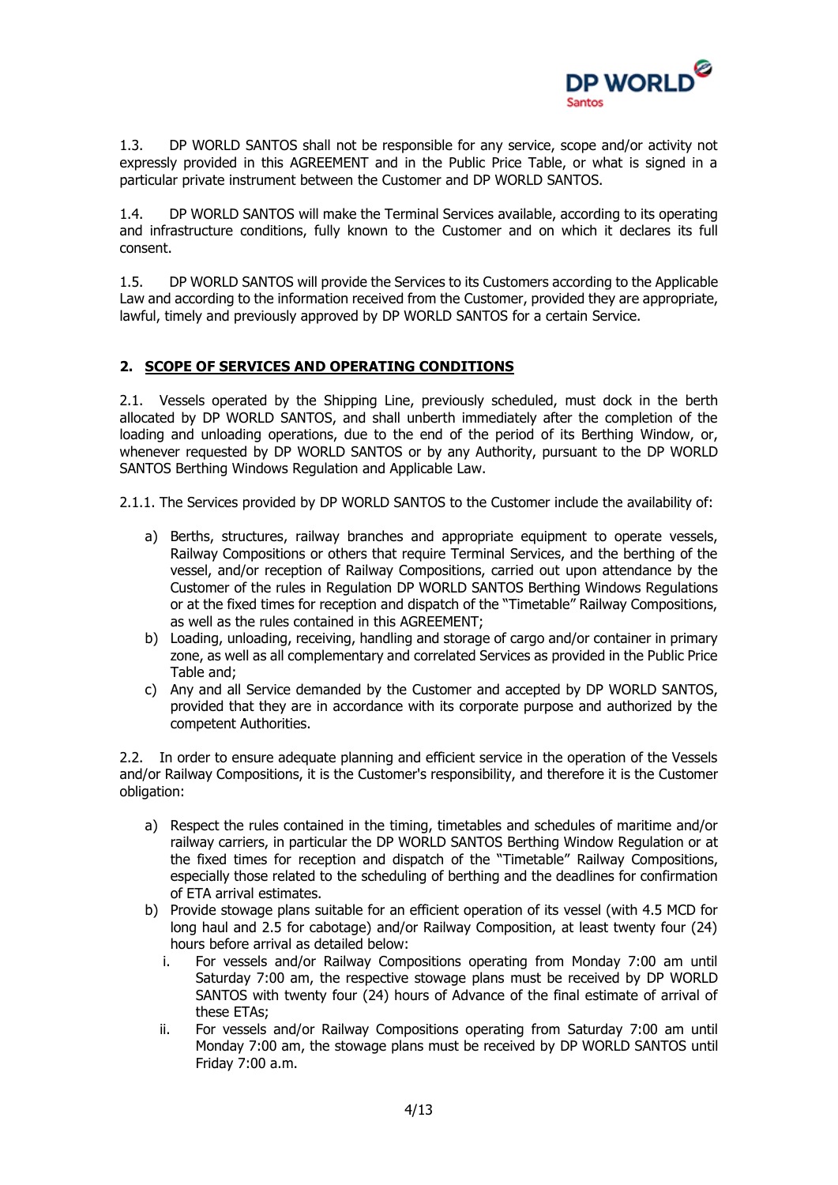

1.3. DP WORLD SANTOS shall not be responsible for any service, scope and/or activity not expressly provided in this AGREEMENT and in the Public Price Table, or what is signed in a particular private instrument between the Customer and DP WORLD SANTOS.

1.4. DP WORLD SANTOS will make the Terminal Services available, according to its operating and infrastructure conditions, fully known to the Customer and on which it declares its full consent.

1.5. DP WORLD SANTOS will provide the Services to its Customers according to the Applicable Law and according to the information received from the Customer, provided they are appropriate, lawful, timely and previously approved by DP WORLD SANTOS for a certain Service.

# **2. SCOPE OF SERVICES AND OPERATING CONDITIONS**

2.1. Vessels operated by the Shipping Line, previously scheduled, must dock in the berth allocated by DP WORLD SANTOS, and shall unberth immediately after the completion of the loading and unloading operations, due to the end of the period of its Berthing Window, or, whenever requested by DP WORLD SANTOS or by any Authority, pursuant to the DP WORLD SANTOS Berthing Windows Regulation and Applicable Law.

2.1.1. The Services provided by DP WORLD SANTOS to the Customer include the availability of:

- a) Berths, structures, railway branches and appropriate equipment to operate vessels, Railway Compositions or others that require Terminal Services, and the berthing of the vessel, and/or reception of Railway Compositions, carried out upon attendance by the Customer of the rules in Regulation DP WORLD SANTOS Berthing Windows Regulations or at the fixed times for reception and dispatch of the "Timetable" Railway Compositions, as well as the rules contained in this AGREEMENT;
- b) Loading, unloading, receiving, handling and storage of cargo and/or container in primary zone, as well as all complementary and correlated Services as provided in the Public Price Table and;
- c) Any and all Service demanded by the Customer and accepted by DP WORLD SANTOS, provided that they are in accordance with its corporate purpose and authorized by the competent Authorities.

2.2. In order to ensure adequate planning and efficient service in the operation of the Vessels and/or Railway Compositions, it is the Customer's responsibility, and therefore it is the Customer obligation:

- a) Respect the rules contained in the timing, timetables and schedules of maritime and/or railway carriers, in particular the DP WORLD SANTOS Berthing Window Regulation or at the fixed times for reception and dispatch of the "Timetable" Railway Compositions, especially those related to the scheduling of berthing and the deadlines for confirmation of ETA arrival estimates.
- b) Provide stowage plans suitable for an efficient operation of its vessel (with 4.5 MCD for long haul and 2.5 for cabotage) and/or Railway Composition, at least twenty four (24) hours before arrival as detailed below:
	- i. For vessels and/or Railway Compositions operating from Monday 7:00 am until Saturday 7:00 am, the respective stowage plans must be received by DP WORLD SANTOS with twenty four (24) hours of Advance of the final estimate of arrival of these ETAs;
	- ii. For vessels and/or Railway Compositions operating from Saturday 7:00 am until Monday 7:00 am, the stowage plans must be received by DP WORLD SANTOS until Friday 7:00 a.m.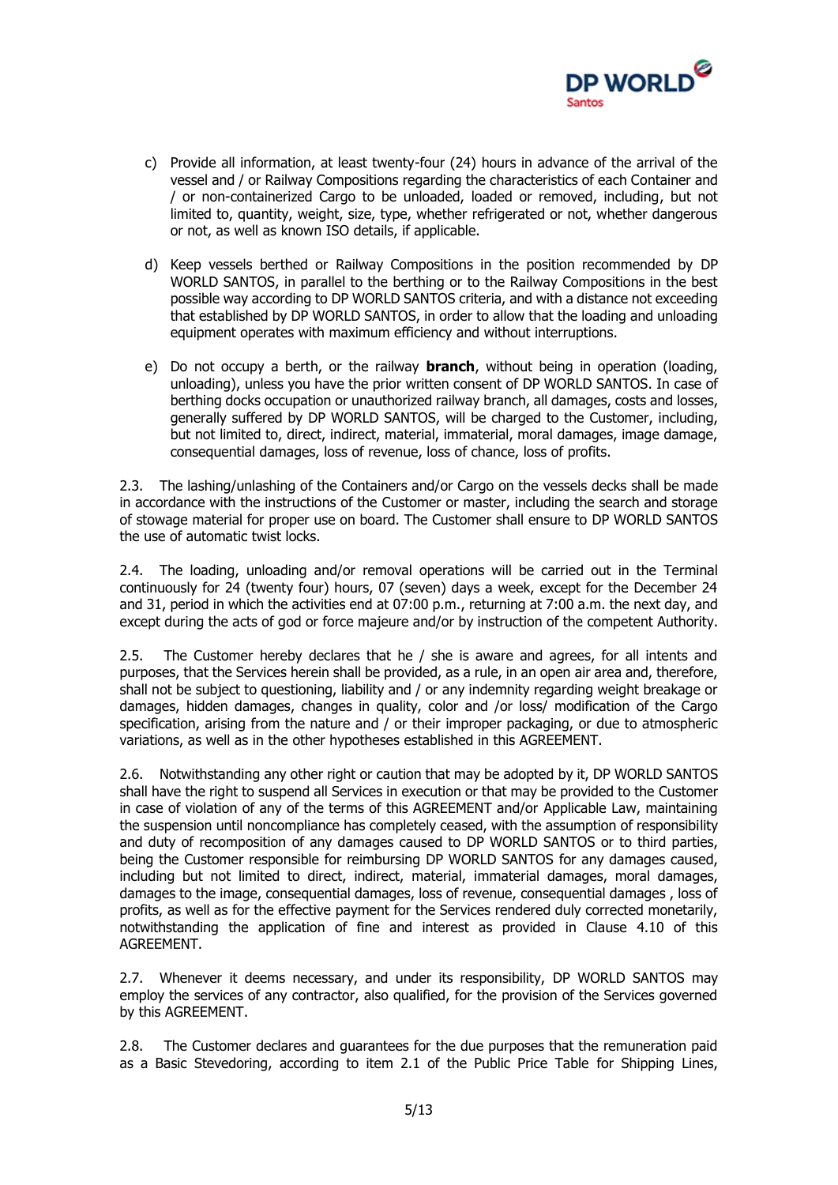

- c) Provide all information, at least twenty-four (24) hours in advance of the arrival of the vessel and / or Railway Compositions regarding the characteristics of each Container and / or non-containerized Cargo to be unloaded, loaded or removed, including, but not limited to, quantity, weight, size, type, whether refrigerated or not, whether dangerous or not, as well as known ISO details, if applicable.
- d) Keep vessels berthed or Railway Compositions in the position recommended by DP WORLD SANTOS, in parallel to the berthing or to the Railway Compositions in the best possible way according to DP WORLD SANTOS criteria, and with a distance not exceeding that established by DP WORLD SANTOS, in order to allow that the loading and unloading equipment operates with maximum efficiency and without interruptions.
- e) Do not occupy a berth, or the railway **branch**, without being in operation (loading, unloading), unless you have the prior written consent of DP WORLD SANTOS. In case of berthing docks occupation or unauthorized railway branch, all damages, costs and losses, generally suffered by DP WORLD SANTOS, will be charged to the Customer, including, but not limited to, direct, indirect, material, immaterial, moral damages, image damage, consequential damages, loss of revenue, loss of chance, loss of profits.

2.3. The lashing/unlashing of the Containers and/or Cargo on the vessels decks shall be made in accordance with the instructions of the Customer or master, including the search and storage of stowage material for proper use on board. The Customer shall ensure to DP WORLD SANTOS the use of automatic twist locks.

2.4. The loading, unloading and/or removal operations will be carried out in the Terminal continuously for 24 (twenty four) hours, 07 (seven) days a week, except for the December 24 and 31, period in which the activities end at 07:00 p.m., returning at 7:00 a.m. the next day, and except during the acts of god or force majeure and/or by instruction of the competent Authority.

2.5. The Customer hereby declares that he / she is aware and agrees, for all intents and purposes, that the Services herein shall be provided, as a rule, in an open air area and, therefore, shall not be subject to questioning, liability and / or any indemnity regarding weight breakage or damages, hidden damages, changes in quality, color and /or loss/ modification of the Cargo specification, arising from the nature and / or their improper packaging, or due to atmospheric variations, as well as in the other hypotheses established in this AGREEMENT.

2.6. Notwithstanding any other right or caution that may be adopted by it, DP WORLD SANTOS shall have the right to suspend all Services in execution or that may be provided to the Customer in case of violation of any of the terms of this AGREEMENT and/or Applicable Law, maintaining the suspension until noncompliance has completely ceased, with the assumption of responsibility and duty of recomposition of any damages caused to DP WORLD SANTOS or to third parties, being the Customer responsible for reimbursing DP WORLD SANTOS for any damages caused, including but not limited to direct, indirect, material, immaterial damages, moral damages, damages to the image, consequential damages, loss of revenue, consequential damages , loss of profits, as well as for the effective payment for the Services rendered duly corrected monetarily, notwithstanding the application of fine and interest as provided in Clause 4.10 of this AGREEMENT.

2.7. Whenever it deems necessary, and under its responsibility, DP WORLD SANTOS may employ the services of any contractor, also qualified, for the provision of the Services governed by this AGREEMENT.

2.8. The Customer declares and guarantees for the due purposes that the remuneration paid as a Basic Stevedoring, according to item 2.1 of the Public Price Table for Shipping Lines,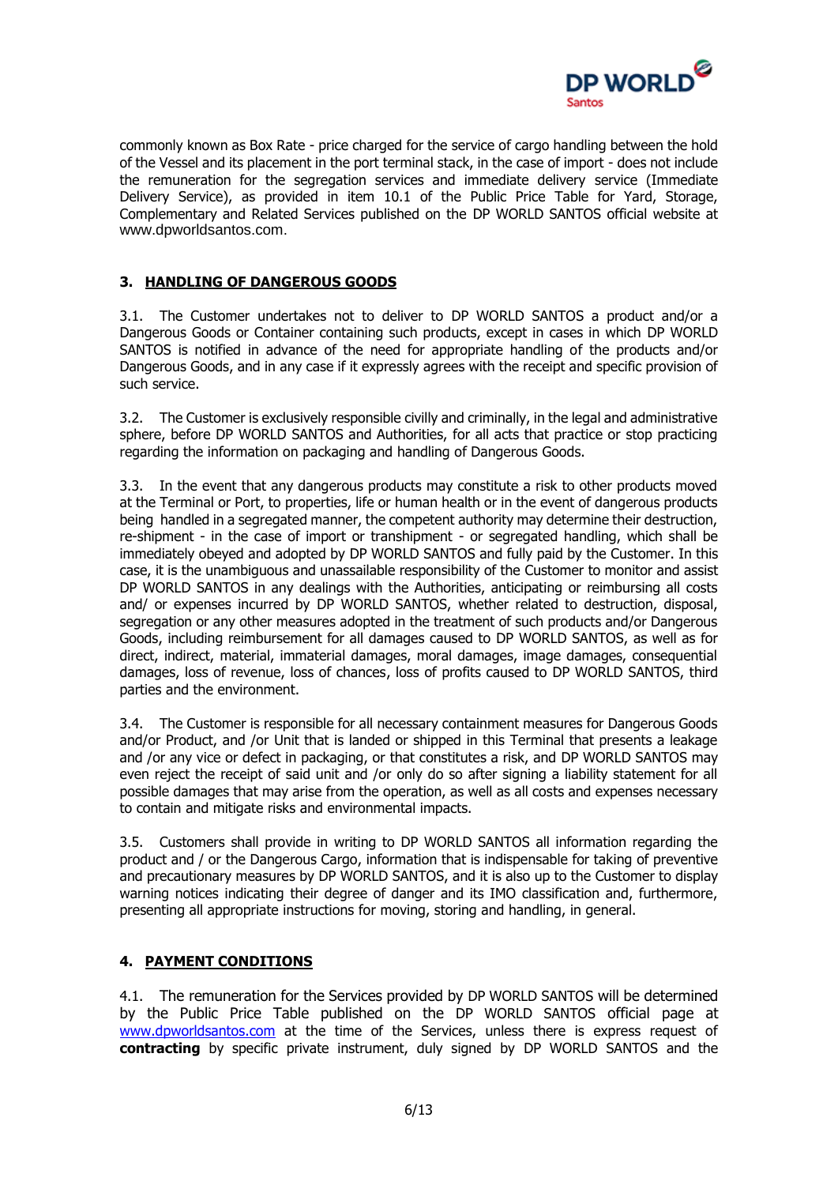

commonly known as Box Rate - price charged for the service of cargo handling between the hold of the Vessel and its placement in the port terminal stack, in the case of import - does not include the remuneration for the segregation services and immediate delivery service (Immediate Delivery Service), as provided in item 10.1 of the Public Price Table for Yard, Storage, Complementary and Related Services published on the DP WORLD SANTOS official website at [www.dpworldsantos.com.](http://www.embraport.com/)

### **3. HANDLING OF DANGEROUS GOODS**

3.1. The Customer undertakes not to deliver to DP WORLD SANTOS a product and/or a Dangerous Goods or Container containing such products, except in cases in which DP WORLD SANTOS is notified in advance of the need for appropriate handling of the products and/or Dangerous Goods, and in any case if it expressly agrees with the receipt and specific provision of such service.

3.2. The Customer is exclusively responsible civilly and criminally, in the legal and administrative sphere, before DP WORLD SANTOS and Authorities, for all acts that practice or stop practicing regarding the information on packaging and handling of Dangerous Goods.

3.3. In the event that any dangerous products may constitute a risk to other products moved at the Terminal or Port, to properties, life or human health or in the event of dangerous products being handled in a segregated manner, the competent authority may determine their destruction, re-shipment - in the case of import or transhipment - or segregated handling, which shall be immediately obeyed and adopted by DP WORLD SANTOS and fully paid by the Customer. In this case, it is the unambiguous and unassailable responsibility of the Customer to monitor and assist DP WORLD SANTOS in any dealings with the Authorities, anticipating or reimbursing all costs and/ or expenses incurred by DP WORLD SANTOS, whether related to destruction, disposal, segregation or any other measures adopted in the treatment of such products and/or Dangerous Goods, including reimbursement for all damages caused to DP WORLD SANTOS, as well as for direct, indirect, material, immaterial damages, moral damages, image damages, consequential damages, loss of revenue, loss of chances, loss of profits caused to DP WORLD SANTOS, third parties and the environment.

3.4. The Customer is responsible for all necessary containment measures for Dangerous Goods and/or Product, and /or Unit that is landed or shipped in this Terminal that presents a leakage and /or any vice or defect in packaging, or that constitutes a risk, and DP WORLD SANTOS may even reject the receipt of said unit and /or only do so after signing a liability statement for all possible damages that may arise from the operation, as well as all costs and expenses necessary to contain and mitigate risks and environmental impacts.

3.5. Customers shall provide in writing to DP WORLD SANTOS all information regarding the product and / or the Dangerous Cargo, information that is indispensable for taking of preventive and precautionary measures by DP WORLD SANTOS, and it is also up to the Customer to display warning notices indicating their degree of danger and its IMO classification and, furthermore, presenting all appropriate instructions for moving, storing and handling, in general.

#### **4. PAYMENT CONDITIONS**

4.1. The remuneration for the Services provided by DP WORLD SANTOS will be determined by the Public Price Table published on the DP WORLD SANTOS official page at [www.dpworldsantos.com](http://www.embraport.com/) at the time of the Services, unless there is express request of **contracting** by specific private instrument, duly signed by DP WORLD SANTOS and the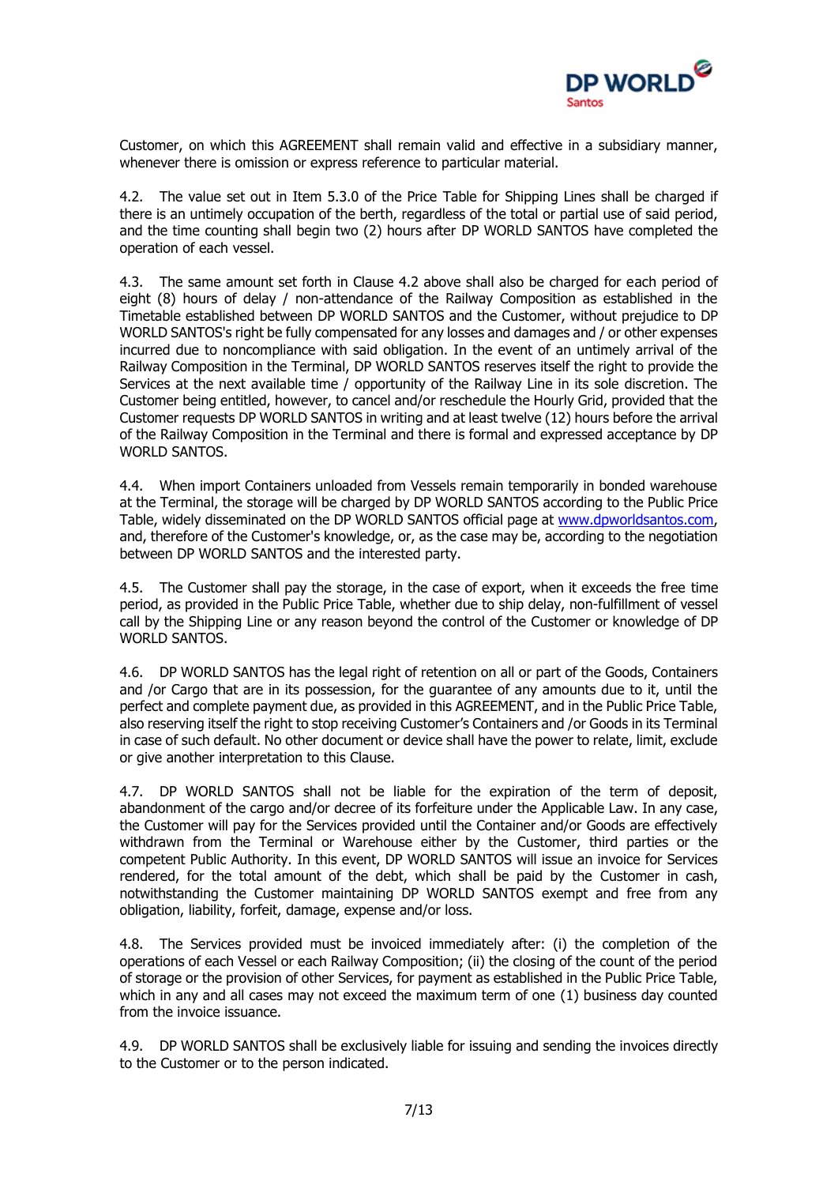

Customer, on which this AGREEMENT shall remain valid and effective in a subsidiary manner, whenever there is omission or express reference to particular material.

4.2. The value set out in Item 5.3.0 of the Price Table for Shipping Lines shall be charged if there is an untimely occupation of the berth, regardless of the total or partial use of said period, and the time counting shall begin two (2) hours after DP WORLD SANTOS have completed the operation of each vessel.

4.3. The same amount set forth in Clause 4.2 above shall also be charged for each period of eight (8) hours of delay / non-attendance of the Railway Composition as established in the Timetable established between DP WORLD SANTOS and the Customer, without prejudice to DP WORLD SANTOS's right be fully compensated for any losses and damages and / or other expenses incurred due to noncompliance with said obligation. In the event of an untimely arrival of the Railway Composition in the Terminal, DP WORLD SANTOS reserves itself the right to provide the Services at the next available time / opportunity of the Railway Line in its sole discretion. The Customer being entitled, however, to cancel and/or reschedule the Hourly Grid, provided that the Customer requests DP WORLD SANTOS in writing and at least twelve (12) hours before the arrival of the Railway Composition in the Terminal and there is formal and expressed acceptance by DP WORLD SANTOS.

4.4. When import Containers unloaded from Vessels remain temporarily in bonded warehouse at the Terminal, the storage will be charged by DP WORLD SANTOS according to the Public Price Table, widely disseminated on the DP WORLD SANTOS official page at [www.dpworldsantos.com,](http://www.dpworldsantos.com/) and, therefore of the Customer's knowledge, or, as the case may be, according to the negotiation between DP WORLD SANTOS and the interested party.

4.5. The Customer shall pay the storage, in the case of export, when it exceeds the free time period, as provided in the Public Price Table, whether due to ship delay, non-fulfillment of vessel call by the Shipping Line or any reason beyond the control of the Customer or knowledge of DP WORLD SANTOS.

4.6. DP WORLD SANTOS has the legal right of retention on all or part of the Goods, Containers and /or Cargo that are in its possession, for the guarantee of any amounts due to it, until the perfect and complete payment due, as provided in this AGREEMENT, and in the Public Price Table, also reserving itself the right to stop receiving Customer's Containers and /or Goods in its Terminal in case of such default. No other document or device shall have the power to relate, limit, exclude or give another interpretation to this Clause.

4.7. DP WORLD SANTOS shall not be liable for the expiration of the term of deposit, abandonment of the cargo and/or decree of its forfeiture under the Applicable Law. In any case, the Customer will pay for the Services provided until the Container and/or Goods are effectively withdrawn from the Terminal or Warehouse either by the Customer, third parties or the competent Public Authority. In this event, DP WORLD SANTOS will issue an invoice for Services rendered, for the total amount of the debt, which shall be paid by the Customer in cash, notwithstanding the Customer maintaining DP WORLD SANTOS exempt and free from any obligation, liability, forfeit, damage, expense and/or loss.

4.8. The Services provided must be invoiced immediately after: (i) the completion of the operations of each Vessel or each Railway Composition; (ii) the closing of the count of the period of storage or the provision of other Services, for payment as established in the Public Price Table, which in any and all cases may not exceed the maximum term of one (1) business day counted from the invoice issuance.

4.9. DP WORLD SANTOS shall be exclusively liable for issuing and sending the invoices directly to the Customer or to the person indicated.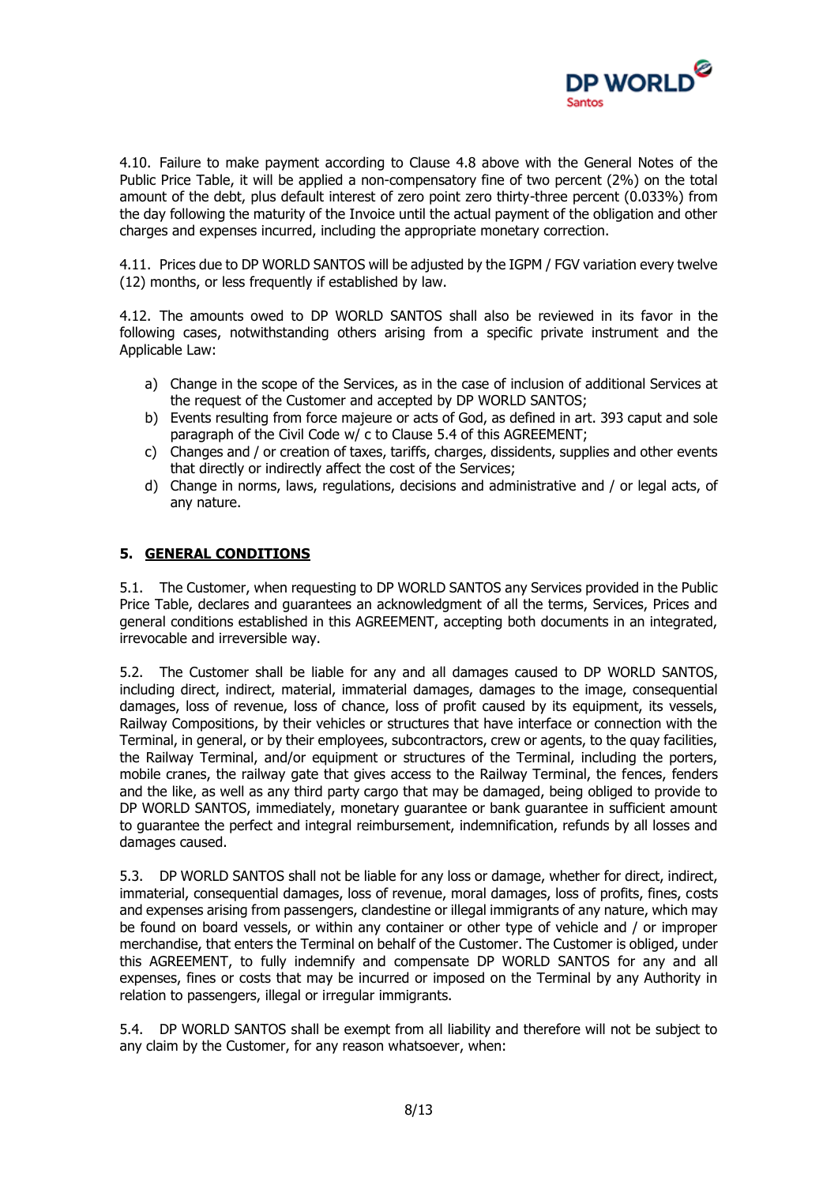

4.10. Failure to make payment according to Clause 4.8 above with the General Notes of the Public Price Table, it will be applied a non-compensatory fine of two percent (2%) on the total amount of the debt, plus default interest of zero point zero thirty-three percent (0.033%) from the day following the maturity of the Invoice until the actual payment of the obligation and other charges and expenses incurred, including the appropriate monetary correction.

4.11. Prices due to DP WORLD SANTOS will be adjusted by the IGPM / FGV variation every twelve (12) months, or less frequently if established by law.

4.12. The amounts owed to DP WORLD SANTOS shall also be reviewed in its favor in the following cases, notwithstanding others arising from a specific private instrument and the Applicable Law:

- a) Change in the scope of the Services, as in the case of inclusion of additional Services at the request of the Customer and accepted by DP WORLD SANTOS;
- b) Events resulting from force majeure or acts of God, as defined in art. 393 caput and sole paragraph of the Civil Code w/ c to Clause 5.4 of this AGREEMENT;
- c) Changes and / or creation of taxes, tariffs, charges, dissidents, supplies and other events that directly or indirectly affect the cost of the Services;
- d) Change in norms, laws, regulations, decisions and administrative and / or legal acts, of any nature.

# **5. GENERAL CONDITIONS**

5.1. The Customer, when requesting to DP WORLD SANTOS any Services provided in the Public Price Table, declares and guarantees an acknowledgment of all the terms, Services, Prices and general conditions established in this AGREEMENT, accepting both documents in an integrated, irrevocable and irreversible way.

5.2. The Customer shall be liable for any and all damages caused to DP WORLD SANTOS, including direct, indirect, material, immaterial damages, damages to the image, consequential damages, loss of revenue, loss of chance, loss of profit caused by its equipment, its vessels, Railway Compositions, by their vehicles or structures that have interface or connection with the Terminal, in general, or by their employees, subcontractors, crew or agents, to the quay facilities, the Railway Terminal, and/or equipment or structures of the Terminal, including the porters, mobile cranes, the railway gate that gives access to the Railway Terminal, the fences, fenders and the like, as well as any third party cargo that may be damaged, being obliged to provide to DP WORLD SANTOS, immediately, monetary guarantee or bank guarantee in sufficient amount to guarantee the perfect and integral reimbursement, indemnification, refunds by all losses and damages caused.

5.3. DP WORLD SANTOS shall not be liable for any loss or damage, whether for direct, indirect, immaterial, consequential damages, loss of revenue, moral damages, loss of profits, fines, costs and expenses arising from passengers, clandestine or illegal immigrants of any nature, which may be found on board vessels, or within any container or other type of vehicle and / or improper merchandise, that enters the Terminal on behalf of the Customer. The Customer is obliged, under this AGREEMENT, to fully indemnify and compensate DP WORLD SANTOS for any and all expenses, fines or costs that may be incurred or imposed on the Terminal by any Authority in relation to passengers, illegal or irregular immigrants.

5.4. DP WORLD SANTOS shall be exempt from all liability and therefore will not be subject to any claim by the Customer, for any reason whatsoever, when: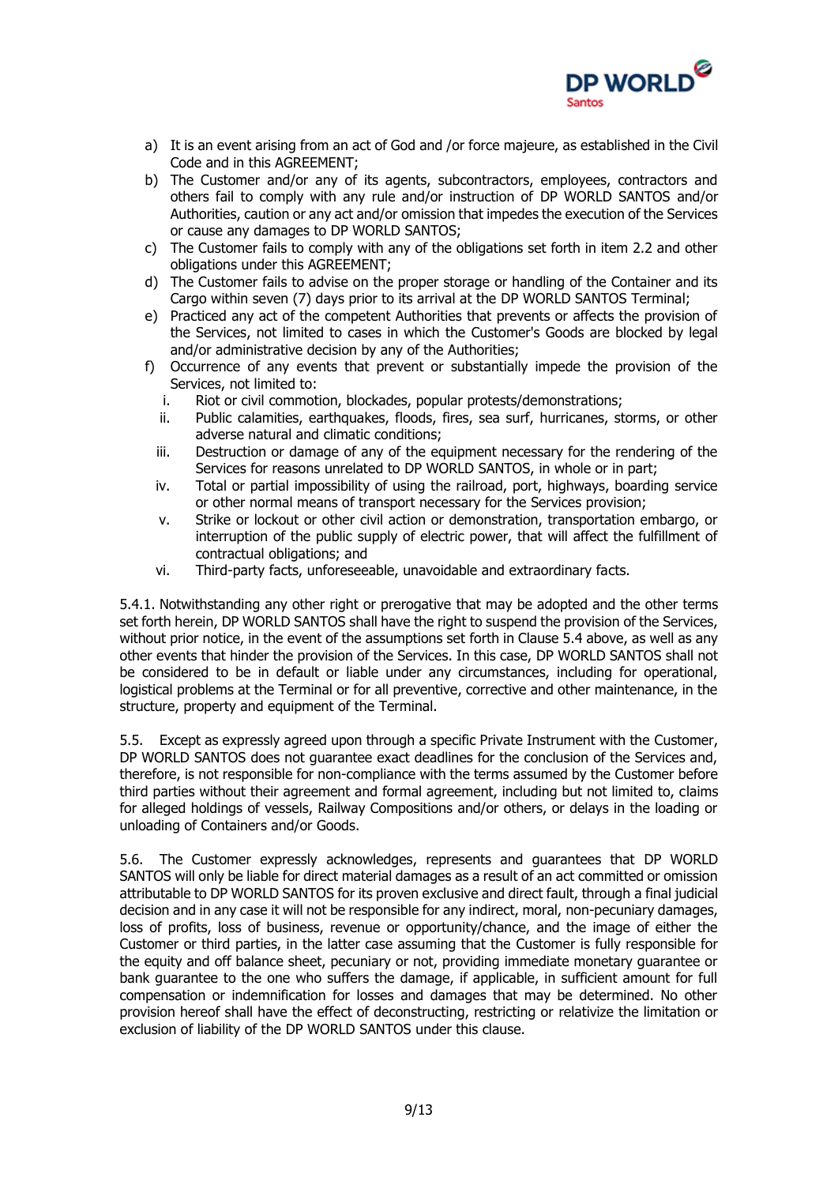

- a) It is an event arising from an act of God and /or force majeure, as established in the Civil Code and in this AGREEMENT;
- b) The Customer and/or any of its agents, subcontractors, employees, contractors and others fail to comply with any rule and/or instruction of DP WORLD SANTOS and/or Authorities, caution or any act and/or omission that impedes the execution of the Services or cause any damages to DP WORLD SANTOS;
- c) The Customer fails to comply with any of the obligations set forth in item 2.2 and other obligations under this AGREEMENT;
- d) The Customer fails to advise on the proper storage or handling of the Container and its Cargo within seven (7) days prior to its arrival at the DP WORLD SANTOS Terminal;
- e) Practiced any act of the competent Authorities that prevents or affects the provision of the Services, not limited to cases in which the Customer's Goods are blocked by legal and/or administrative decision by any of the Authorities;
- f) Occurrence of any events that prevent or substantially impede the provision of the Services, not limited to:
	- i. Riot or civil commotion, blockades, popular protests/demonstrations;
	- ii. Public calamities, earthquakes, floods, fires, sea surf, hurricanes, storms, or other adverse natural and climatic conditions;
	- iii. Destruction or damage of any of the equipment necessary for the rendering of the Services for reasons unrelated to DP WORLD SANTOS, in whole or in part;
	- iv. Total or partial impossibility of using the railroad, port, highways, boarding service or other normal means of transport necessary for the Services provision;
	- v. Strike or lockout or other civil action or demonstration, transportation embargo, or interruption of the public supply of electric power, that will affect the fulfillment of contractual obligations; and
	- vi. Third-party facts, unforeseeable, unavoidable and extraordinary facts.

5.4.1. Notwithstanding any other right or prerogative that may be adopted and the other terms set forth herein, DP WORLD SANTOS shall have the right to suspend the provision of the Services, without prior notice, in the event of the assumptions set forth in Clause 5.4 above, as well as any other events that hinder the provision of the Services. In this case, DP WORLD SANTOS shall not be considered to be in default or liable under any circumstances, including for operational, logistical problems at the Terminal or for all preventive, corrective and other maintenance, in the structure, property and equipment of the Terminal.

5.5. Except as expressly agreed upon through a specific Private Instrument with the Customer, DP WORLD SANTOS does not guarantee exact deadlines for the conclusion of the Services and, therefore, is not responsible for non-compliance with the terms assumed by the Customer before third parties without their agreement and formal agreement, including but not limited to, claims for alleged holdings of vessels, Railway Compositions and/or others, or delays in the loading or unloading of Containers and/or Goods.

5.6. The Customer expressly acknowledges, represents and guarantees that DP WORLD SANTOS will only be liable for direct material damages as a result of an act committed or omission attributable to DP WORLD SANTOS for its proven exclusive and direct fault, through a final judicial decision and in any case it will not be responsible for any indirect, moral, non-pecuniary damages, loss of profits, loss of business, revenue or opportunity/chance, and the image of either the Customer or third parties, in the latter case assuming that the Customer is fully responsible for the equity and off balance sheet, pecuniary or not, providing immediate monetary guarantee or bank guarantee to the one who suffers the damage, if applicable, in sufficient amount for full compensation or indemnification for losses and damages that may be determined. No other provision hereof shall have the effect of deconstructing, restricting or relativize the limitation or exclusion of liability of the DP WORLD SANTOS under this clause.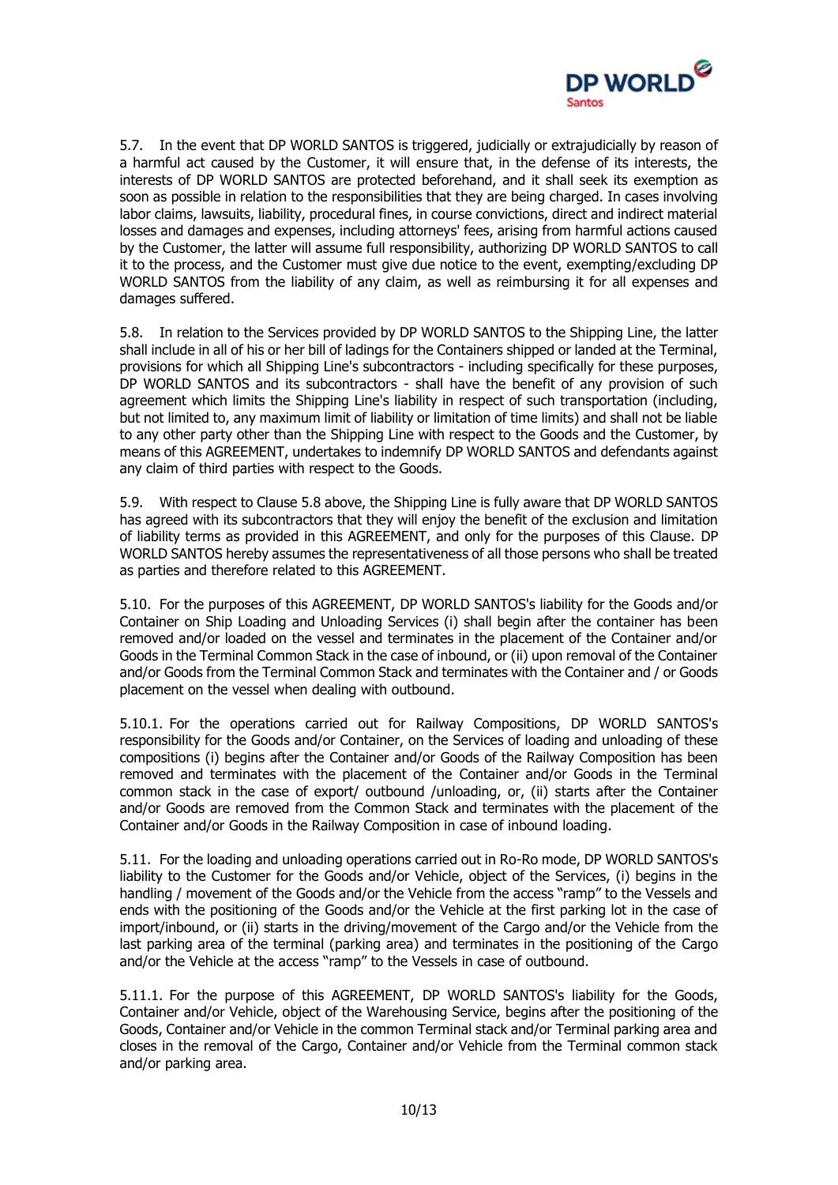

5.7. In the event that DP WORLD SANTOS is triggered, judicially or extrajudicially by reason of a harmful act caused by the Customer, it will ensure that, in the defense of its interests, the interests of DP WORLD SANTOS are protected beforehand, and it shall seek its exemption as soon as possible in relation to the responsibilities that they are being charged. In cases involving labor claims, lawsuits, liability, procedural fines, in course convictions, direct and indirect material losses and damages and expenses, including attorneys' fees, arising from harmful actions caused by the Customer, the latter will assume full responsibility, authorizing DP WORLD SANTOS to call it to the process, and the Customer must give due notice to the event, exempting/excluding DP WORLD SANTOS from the liability of any claim, as well as reimbursing it for all expenses and damages suffered.

5.8. In relation to the Services provided by DP WORLD SANTOS to the Shipping Line, the latter shall include in all of his or her bill of ladings for the Containers shipped or landed at the Terminal, provisions for which all Shipping Line's subcontractors - including specifically for these purposes, DP WORLD SANTOS and its subcontractors - shall have the benefit of any provision of such agreement which limits the Shipping Line's liability in respect of such transportation (including, but not limited to, any maximum limit of liability or limitation of time limits) and shall not be liable to any other party other than the Shipping Line with respect to the Goods and the Customer, by means of this AGREEMENT, undertakes to indemnify DP WORLD SANTOS and defendants against any claim of third parties with respect to the Goods.

5.9. With respect to Clause 5.8 above, the Shipping Line is fully aware that DP WORLD SANTOS has agreed with its subcontractors that they will enjoy the benefit of the exclusion and limitation of liability terms as provided in this AGREEMENT, and only for the purposes of this Clause. DP WORLD SANTOS hereby assumes the representativeness of all those persons who shall be treated as parties and therefore related to this AGREEMENT.

5.10. For the purposes of this AGREEMENT, DP WORLD SANTOS's liability for the Goods and/or Container on Ship Loading and Unloading Services (i) shall begin after the container has been removed and/or loaded on the vessel and terminates in the placement of the Container and/or Goods in the Terminal Common Stack in the case of inbound, or (ii) upon removal of the Container and/or Goods from the Terminal Common Stack and terminates with the Container and / or Goods placement on the vessel when dealing with outbound.

5.10.1. For the operations carried out for Railway Compositions, DP WORLD SANTOS's responsibility for the Goods and/or Container, on the Services of loading and unloading of these compositions (i) begins after the Container and/or Goods of the Railway Composition has been removed and terminates with the placement of the Container and/or Goods in the Terminal common stack in the case of export/ outbound /unloading, or, (ii) starts after the Container and/or Goods are removed from the Common Stack and terminates with the placement of the Container and/or Goods in the Railway Composition in case of inbound loading.

5.11. For the loading and unloading operations carried out in Ro-Ro mode, DP WORLD SANTOS's liability to the Customer for the Goods and/or Vehicle, object of the Services, (i) begins in the handling / movement of the Goods and/or the Vehicle from the access "ramp" to the Vessels and ends with the positioning of the Goods and/or the Vehicle at the first parking lot in the case of import/inbound, or (ii) starts in the driving/movement of the Cargo and/or the Vehicle from the last parking area of the terminal (parking area) and terminates in the positioning of the Cargo and/or the Vehicle at the access "ramp" to the Vessels in case of outbound.

5.11.1. For the purpose of this AGREEMENT, DP WORLD SANTOS's liability for the Goods, Container and/or Vehicle, object of the Warehousing Service, begins after the positioning of the Goods, Container and/or Vehicle in the common Terminal stack and/or Terminal parking area and closes in the removal of the Cargo, Container and/or Vehicle from the Terminal common stack and/or parking area.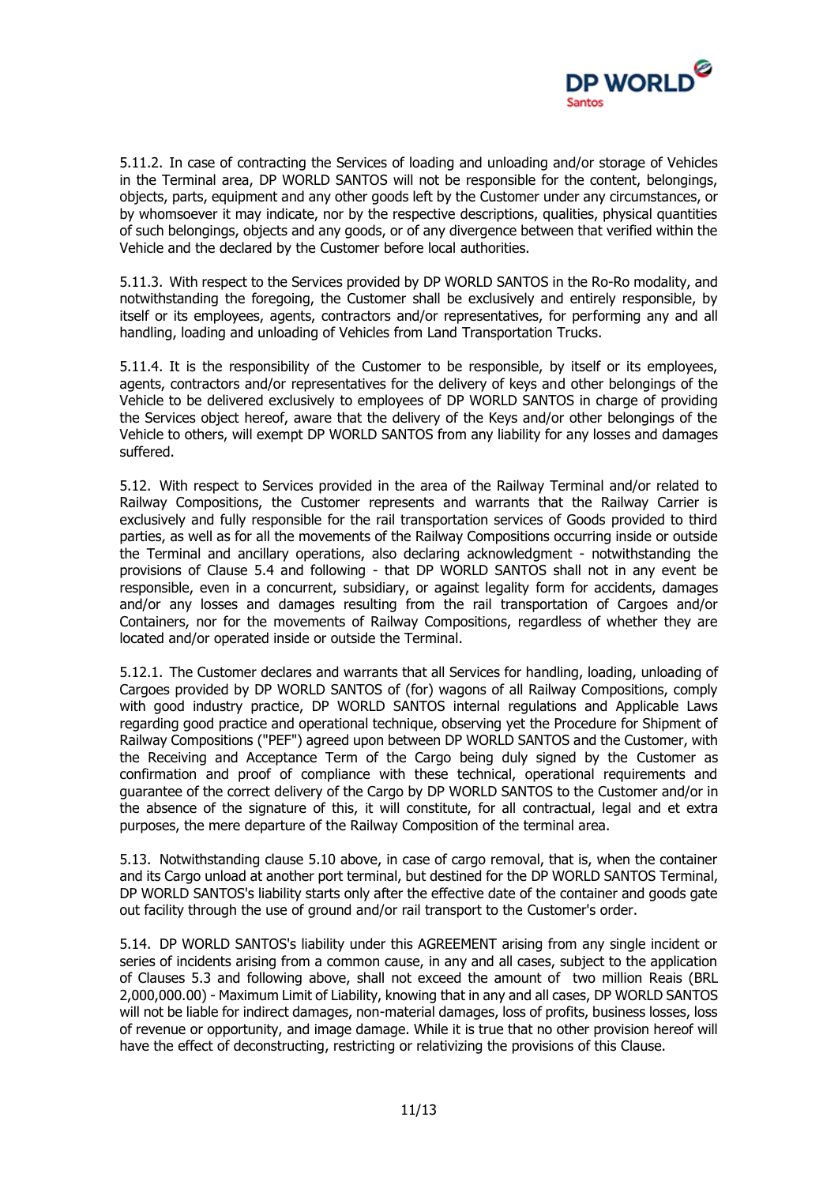

5.11.2. In case of contracting the Services of loading and unloading and/or storage of Vehicles in the Terminal area, DP WORLD SANTOS will not be responsible for the content, belongings, objects, parts, equipment and any other goods left by the Customer under any circumstances, or by whomsoever it may indicate, nor by the respective descriptions, qualities, physical quantities of such belongings, objects and any goods, or of any divergence between that verified within the Vehicle and the declared by the Customer before local authorities.

5.11.3. With respect to the Services provided by DP WORLD SANTOS in the Ro-Ro modality, and notwithstanding the foregoing, the Customer shall be exclusively and entirely responsible, by itself or its employees, agents, contractors and/or representatives, for performing any and all handling, loading and unloading of Vehicles from Land Transportation Trucks.

5.11.4. It is the responsibility of the Customer to be responsible, by itself or its employees, agents, contractors and/or representatives for the delivery of keys and other belongings of the Vehicle to be delivered exclusively to employees of DP WORLD SANTOS in charge of providing the Services object hereof, aware that the delivery of the Keys and/or other belongings of the Vehicle to others, will exempt DP WORLD SANTOS from any liability for any losses and damages suffered.

5.12. With respect to Services provided in the area of the Railway Terminal and/or related to Railway Compositions, the Customer represents and warrants that the Railway Carrier is exclusively and fully responsible for the rail transportation services of Goods provided to third parties, as well as for all the movements of the Railway Compositions occurring inside or outside the Terminal and ancillary operations, also declaring acknowledgment - notwithstanding the provisions of Clause 5.4 and following - that DP WORLD SANTOS shall not in any event be responsible, even in a concurrent, subsidiary, or against legality form for accidents, damages and/or any losses and damages resulting from the rail transportation of Cargoes and/or Containers, nor for the movements of Railway Compositions, regardless of whether they are located and/or operated inside or outside the Terminal.

5.12.1. The Customer declares and warrants that all Services for handling, loading, unloading of Cargoes provided by DP WORLD SANTOS of (for) wagons of all Railway Compositions, comply with good industry practice, DP WORLD SANTOS internal regulations and Applicable Laws regarding good practice and operational technique, observing yet the Procedure for Shipment of Railway Compositions ("PEF") agreed upon between DP WORLD SANTOS and the Customer, with the Receiving and Acceptance Term of the Cargo being duly signed by the Customer as confirmation and proof of compliance with these technical, operational requirements and guarantee of the correct delivery of the Cargo by DP WORLD SANTOS to the Customer and/or in the absence of the signature of this, it will constitute, for all contractual, legal and et extra purposes, the mere departure of the Railway Composition of the terminal area.

5.13. Notwithstanding clause 5.10 above, in case of cargo removal, that is, when the container and its Cargo unload at another port terminal, but destined for the DP WORLD SANTOS Terminal, DP WORLD SANTOS's liability starts only after the effective date of the container and goods gate out facility through the use of ground and/or rail transport to the Customer's order.

5.14. DP WORLD SANTOS's liability under this AGREEMENT arising from any single incident or series of incidents arising from a common cause, in any and all cases, subject to the application of Clauses 5.3 and following above, shall not exceed the amount of two million Reais (BRL 2,000,000.00) - Maximum Limit of Liability, knowing that in any and all cases, DP WORLD SANTOS will not be liable for indirect damages, non-material damages, loss of profits, business losses, loss of revenue or opportunity, and image damage. While it is true that no other provision hereof will have the effect of deconstructing, restricting or relativizing the provisions of this Clause.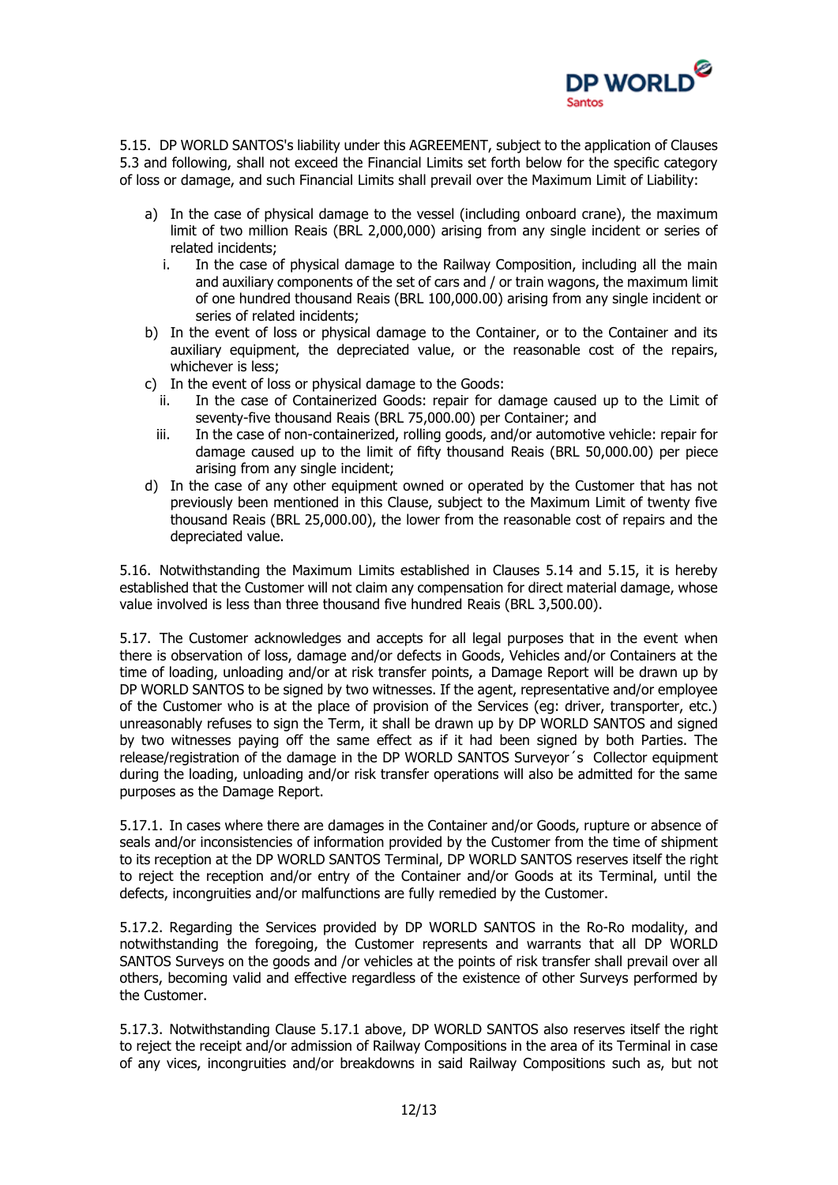

5.15. DP WORLD SANTOS's liability under this AGREEMENT, subject to the application of Clauses 5.3 and following, shall not exceed the Financial Limits set forth below for the specific category of loss or damage, and such Financial Limits shall prevail over the Maximum Limit of Liability:

- a) In the case of physical damage to the vessel (including onboard crane), the maximum limit of two million Reais (BRL 2,000,000) arising from any single incident or series of related incidents;
	- i. In the case of physical damage to the Railway Composition, including all the main and auxiliary components of the set of cars and / or train wagons, the maximum limit of one hundred thousand Reais (BRL 100,000.00) arising from any single incident or series of related incidents;
- b) In the event of loss or physical damage to the Container, or to the Container and its auxiliary equipment, the depreciated value, or the reasonable cost of the repairs, whichever is less;
- c) In the event of loss or physical damage to the Goods:
	- ii. In the case of Containerized Goods: repair for damage caused up to the Limit of seventy-five thousand Reais (BRL 75,000.00) per Container; and
	- iii. In the case of non-containerized, rolling goods, and/or automotive vehicle: repair for damage caused up to the limit of fifty thousand Reais (BRL 50,000.00) per piece arising from any single incident;
- d) In the case of any other equipment owned or operated by the Customer that has not previously been mentioned in this Clause, subject to the Maximum Limit of twenty five thousand Reais (BRL 25,000.00), the lower from the reasonable cost of repairs and the depreciated value.

5.16. Notwithstanding the Maximum Limits established in Clauses 5.14 and 5.15, it is hereby established that the Customer will not claim any compensation for direct material damage, whose value involved is less than three thousand five hundred Reais (BRL 3,500.00).

5.17. The Customer acknowledges and accepts for all legal purposes that in the event when there is observation of loss, damage and/or defects in Goods, Vehicles and/or Containers at the time of loading, unloading and/or at risk transfer points, a Damage Report will be drawn up by DP WORLD SANTOS to be signed by two witnesses. If the agent, representative and/or employee of the Customer who is at the place of provision of the Services (eg: driver, transporter, etc.) unreasonably refuses to sign the Term, it shall be drawn up by DP WORLD SANTOS and signed by two witnesses paying off the same effect as if it had been signed by both Parties. The release/registration of the damage in the DP WORLD SANTOS Surveyor´s Collector equipment during the loading, unloading and/or risk transfer operations will also be admitted for the same purposes as the Damage Report.

5.17.1. In cases where there are damages in the Container and/or Goods, rupture or absence of seals and/or inconsistencies of information provided by the Customer from the time of shipment to its reception at the DP WORLD SANTOS Terminal, DP WORLD SANTOS reserves itself the right to reject the reception and/or entry of the Container and/or Goods at its Terminal, until the defects, incongruities and/or malfunctions are fully remedied by the Customer.

5.17.2. Regarding the Services provided by DP WORLD SANTOS in the Ro-Ro modality, and notwithstanding the foregoing, the Customer represents and warrants that all DP WORLD SANTOS Surveys on the goods and /or vehicles at the points of risk transfer shall prevail over all others, becoming valid and effective regardless of the existence of other Surveys performed by the Customer.

5.17.3. Notwithstanding Clause 5.17.1 above, DP WORLD SANTOS also reserves itself the right to reject the receipt and/or admission of Railway Compositions in the area of its Terminal in case of any vices, incongruities and/or breakdowns in said Railway Compositions such as, but not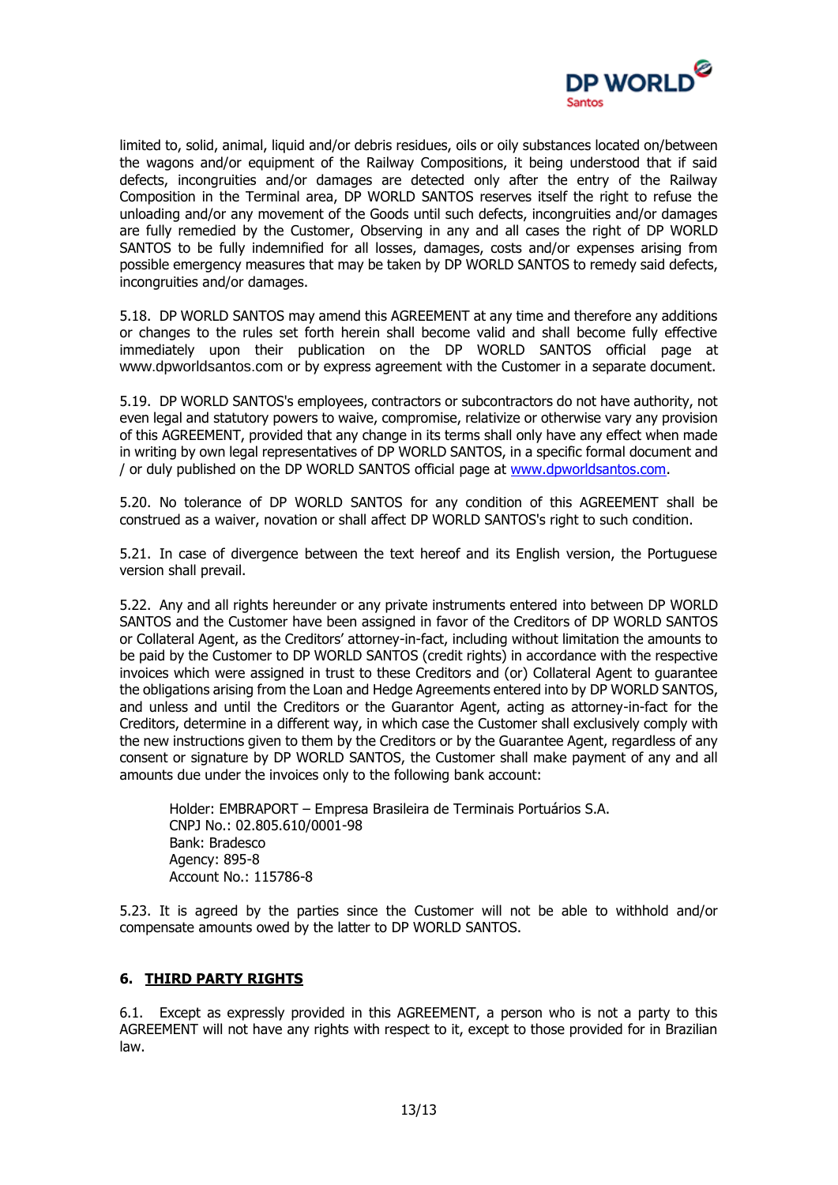

limited to, solid, animal, liquid and/or debris residues, oils or oily substances located on/between the wagons and/or equipment of the Railway Compositions, it being understood that if said defects, incongruities and/or damages are detected only after the entry of the Railway Composition in the Terminal area, DP WORLD SANTOS reserves itself the right to refuse the unloading and/or any movement of the Goods until such defects, incongruities and/or damages are fully remedied by the Customer, Observing in any and all cases the right of DP WORLD SANTOS to be fully indemnified for all losses, damages, costs and/or expenses arising from possible emergency measures that may be taken by DP WORLD SANTOS to remedy said defects, incongruities and/or damages.

5.18. DP WORLD SANTOS may amend this AGREEMENT at any time and therefore any additions or changes to the rules set forth herein shall become valid and shall become fully effective immediately upon their publication on the DP WORLD SANTOS official page at [www.dpworldsantos.com](http://www.embraport.com/) or by express agreement with the Customer in a separate document.

5.19. DP WORLD SANTOS's employees, contractors or subcontractors do not have authority, not even legal and statutory powers to waive, compromise, relativize or otherwise vary any provision of this AGREEMENT, provided that any change in its terms shall only have any effect when made in writing by own legal representatives of DP WORLD SANTOS, in a specific formal document and / or duly published on the DP WORLD SANTOS official page at [www.dpworldsantos.com.](http://www.embraport.com/)

5.20. No tolerance of DP WORLD SANTOS for any condition of this AGREEMENT shall be construed as a waiver, novation or shall affect DP WORLD SANTOS's right to such condition.

5.21. In case of divergence between the text hereof and its English version, the Portuguese version shall prevail.

5.22. Any and all rights hereunder or any private instruments entered into between DP WORLD SANTOS and the Customer have been assigned in favor of the Creditors of DP WORLD SANTOS or Collateral Agent, as the Creditors' attorney-in-fact, including without limitation the amounts to be paid by the Customer to DP WORLD SANTOS (credit rights) in accordance with the respective invoices which were assigned in trust to these Creditors and (or) Collateral Agent to guarantee the obligations arising from the Loan and Hedge Agreements entered into by DP WORLD SANTOS, and unless and until the Creditors or the Guarantor Agent, acting as attorney-in-fact for the Creditors, determine in a different way, in which case the Customer shall exclusively comply with the new instructions given to them by the Creditors or by the Guarantee Agent, regardless of any consent or signature by DP WORLD SANTOS, the Customer shall make payment of any and all amounts due under the invoices only to the following bank account:

Holder: EMBRAPORT – Empresa Brasileira de Terminais Portuários S.A. CNPJ No.: 02.805.610/0001-98 Bank: Bradesco Agency: 895-8 Account No.: 115786-8

5.23. It is agreed by the parties since the Customer will not be able to withhold and/or compensate amounts owed by the latter to DP WORLD SANTOS.

#### **6. THIRD PARTY RIGHTS**

6.1. Except as expressly provided in this AGREEMENT, a person who is not a party to this AGREEMENT will not have any rights with respect to it, except to those provided for in Brazilian law.